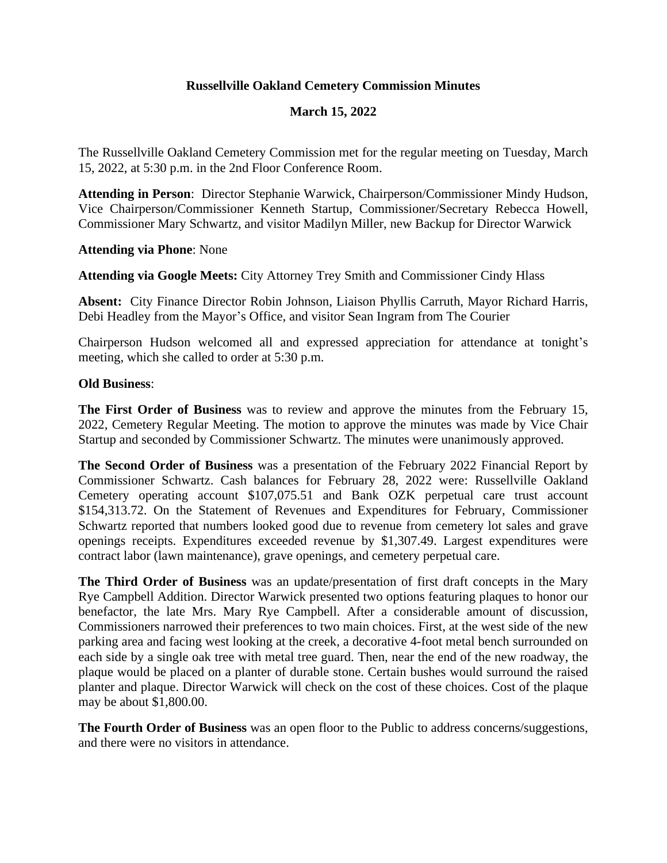# **Russellville Oakland Cemetery Commission Minutes**

# **March 15, 2022**

The Russellville Oakland Cemetery Commission met for the regular meeting on Tuesday, March 15, 2022, at 5:30 p.m. in the 2nd Floor Conference Room.

**Attending in Person**: Director Stephanie Warwick, Chairperson/Commissioner Mindy Hudson, Vice Chairperson/Commissioner Kenneth Startup, Commissioner/Secretary Rebecca Howell, Commissioner Mary Schwartz, and visitor Madilyn Miller, new Backup for Director Warwick

### **Attending via Phone**: None

**Attending via Google Meets:** City Attorney Trey Smith and Commissioner Cindy Hlass

**Absent:** City Finance Director Robin Johnson, Liaison Phyllis Carruth, Mayor Richard Harris, Debi Headley from the Mayor's Office, and visitor Sean Ingram from The Courier

Chairperson Hudson welcomed all and expressed appreciation for attendance at tonight's meeting, which she called to order at 5:30 p.m.

### **Old Business**:

**The First Order of Business** was to review and approve the minutes from the February 15, 2022, Cemetery Regular Meeting. The motion to approve the minutes was made by Vice Chair Startup and seconded by Commissioner Schwartz. The minutes were unanimously approved.

**The Second Order of Business** was a presentation of the February 2022 Financial Report by Commissioner Schwartz. Cash balances for February 28, 2022 were: Russellville Oakland Cemetery operating account \$107,075.51 and Bank OZK perpetual care trust account \$154,313.72. On the Statement of Revenues and Expenditures for February, Commissioner Schwartz reported that numbers looked good due to revenue from cemetery lot sales and grave openings receipts. Expenditures exceeded revenue by \$1,307.49. Largest expenditures were contract labor (lawn maintenance), grave openings, and cemetery perpetual care.

**The Third Order of Business** was an update/presentation of first draft concepts in the Mary Rye Campbell Addition. Director Warwick presented two options featuring plaques to honor our benefactor, the late Mrs. Mary Rye Campbell. After a considerable amount of discussion, Commissioners narrowed their preferences to two main choices. First, at the west side of the new parking area and facing west looking at the creek, a decorative 4-foot metal bench surrounded on each side by a single oak tree with metal tree guard. Then, near the end of the new roadway, the plaque would be placed on a planter of durable stone. Certain bushes would surround the raised planter and plaque. Director Warwick will check on the cost of these choices. Cost of the plaque may be about \$1,800.00.

**The Fourth Order of Business** was an open floor to the Public to address concerns/suggestions, and there were no visitors in attendance.